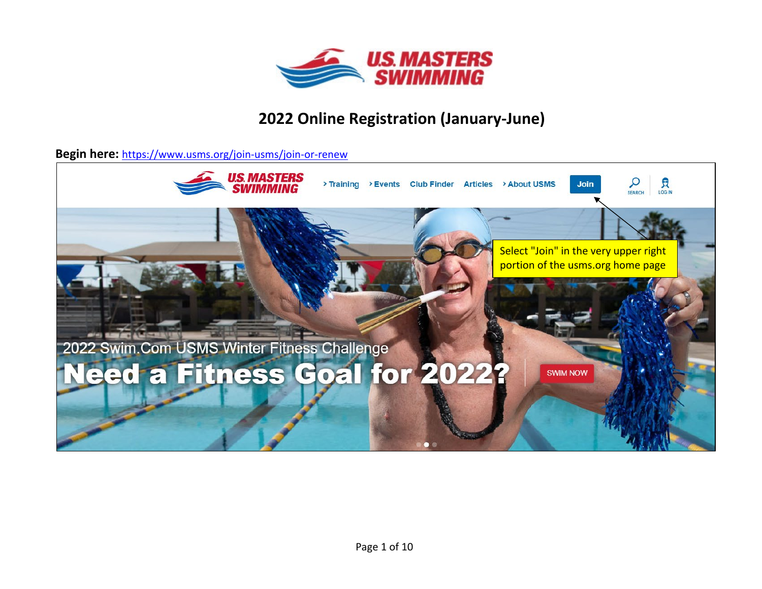

## **2022 Online Registration (January-June)**

**Begin here:** <https://www.usms.org/join-usms/join-or-renew>

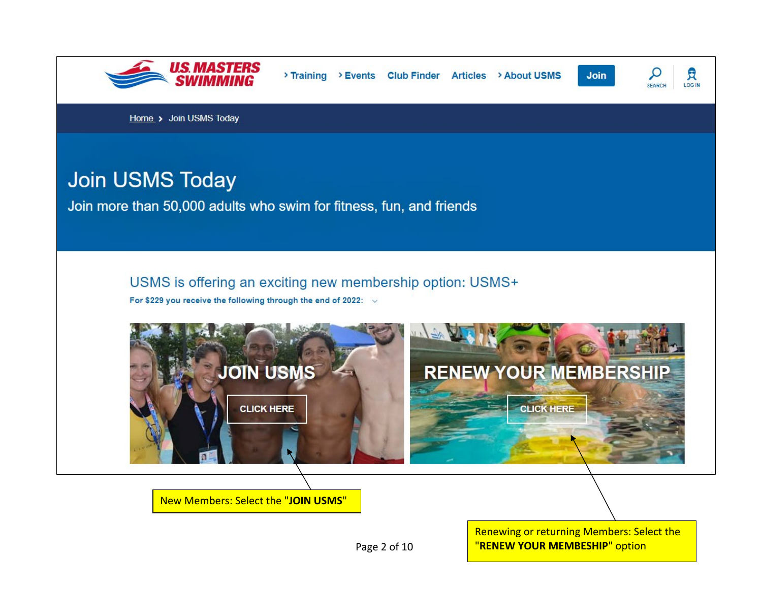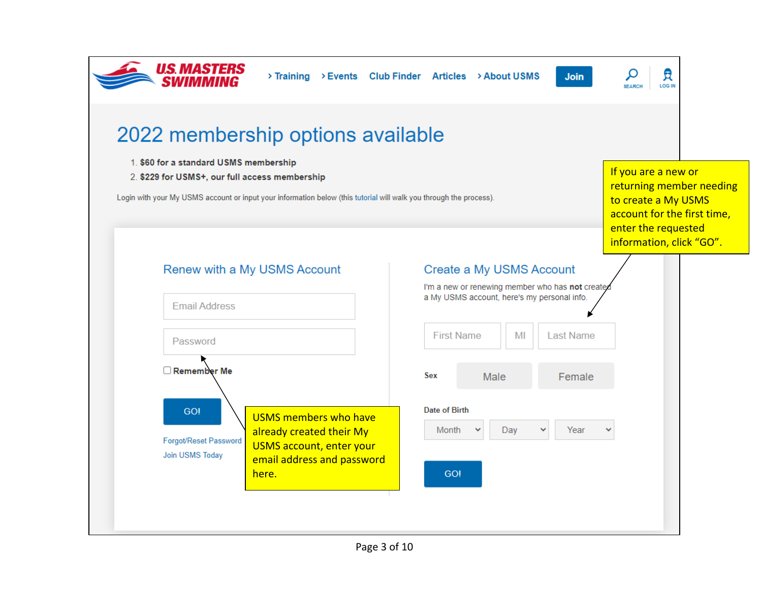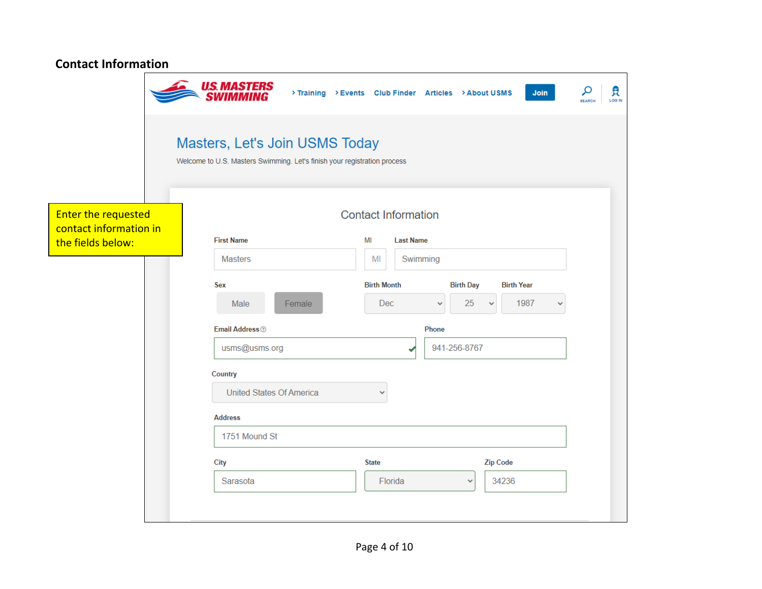| <b>Contact Information</b>                    |                                                                                                            |                                                                                                           |  |  |  |  |
|-----------------------------------------------|------------------------------------------------------------------------------------------------------------|-----------------------------------------------------------------------------------------------------------|--|--|--|--|
|                                               | <b>U.S. MASTERS</b><br>SWIMMING                                                                            | م<br>貝<br>Join<br>> Training > Events Club Finder Articles > About USMS<br><b>LOG IN</b><br><b>SEARCH</b> |  |  |  |  |
|                                               | Masters, Let's Join USMS Today<br>Welcome to U.S. Masters Swimming. Let's finish your registration process |                                                                                                           |  |  |  |  |
| Enter the requested<br>contact information in |                                                                                                            | <b>Contact Information</b>                                                                                |  |  |  |  |
| the fields below:                             | <b>First Name</b>                                                                                          | MI<br><b>Last Name</b>                                                                                    |  |  |  |  |
|                                               | <b>Masters</b>                                                                                             | MI<br>Swimming                                                                                            |  |  |  |  |
|                                               | <b>Sex</b>                                                                                                 | <b>Birth Month</b><br><b>Birth Day</b><br><b>Birth Year</b>                                               |  |  |  |  |
|                                               | Female<br>Male                                                                                             | <b>Dec</b><br>25<br>1987<br>$\checkmark$<br>v                                                             |  |  |  |  |
|                                               | Email Address <sup>®</sup>                                                                                 | Phone                                                                                                     |  |  |  |  |
|                                               | usms@usms.org                                                                                              | 941-256-8767                                                                                              |  |  |  |  |
|                                               | Country                                                                                                    |                                                                                                           |  |  |  |  |
|                                               | <b>United States Of America</b>                                                                            | $\checkmark$                                                                                              |  |  |  |  |
|                                               | <b>Address</b>                                                                                             |                                                                                                           |  |  |  |  |
|                                               | 1751 Mound St                                                                                              |                                                                                                           |  |  |  |  |
|                                               | City                                                                                                       | <b>Zip Code</b><br><b>State</b>                                                                           |  |  |  |  |
|                                               | Sarasota                                                                                                   | 34236<br>Florida<br>$\checkmark$                                                                          |  |  |  |  |
|                                               |                                                                                                            |                                                                                                           |  |  |  |  |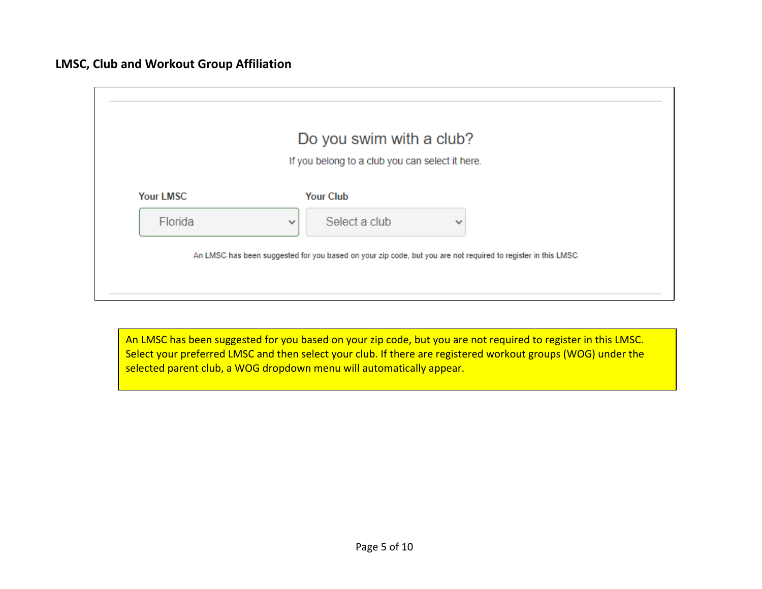

An LMSC has been suggested for you based on your zip code, but you are not required to register in this LMSC. Select your preferred LMSC and then select your club. If there are registered workout groups (WOG) under the selected parent club, a WOG dropdown menu will automatically appear.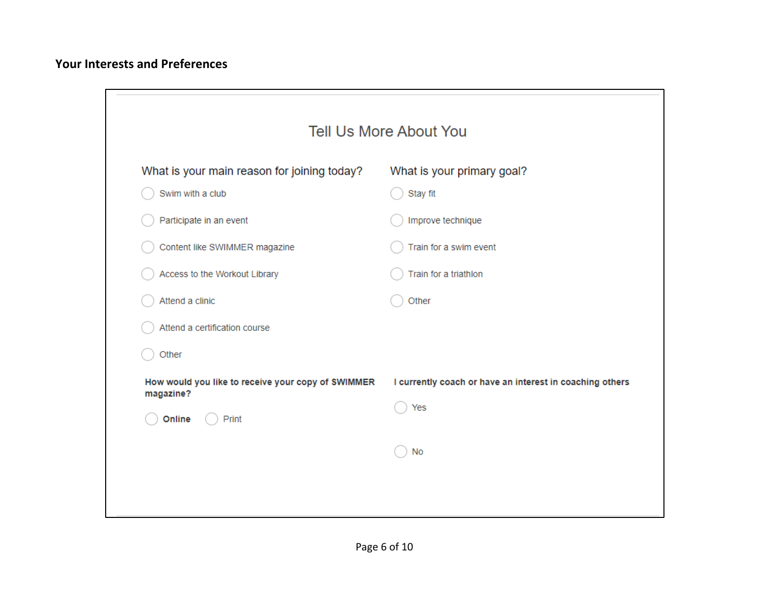## **Your Interests and Preferences**

| What is your main reason for joining today?                     | What is your primary goal?                                           |  |  |
|-----------------------------------------------------------------|----------------------------------------------------------------------|--|--|
| Swim with a club                                                | Stay fit                                                             |  |  |
| Participate in an event                                         | Improve technique<br>Train for a swim event<br>Train for a triathlon |  |  |
| Content like SWIMMER magazine                                   |                                                                      |  |  |
| Access to the Workout Library                                   |                                                                      |  |  |
| Attend a clinic                                                 | Other                                                                |  |  |
| Attend a certification course                                   |                                                                      |  |  |
| Other                                                           |                                                                      |  |  |
| How would you like to receive your copy of SWIMMER<br>magazine? | I currently coach or have an interest in coaching others             |  |  |
| Print<br>Online                                                 | Yes                                                                  |  |  |
|                                                                 | No                                                                   |  |  |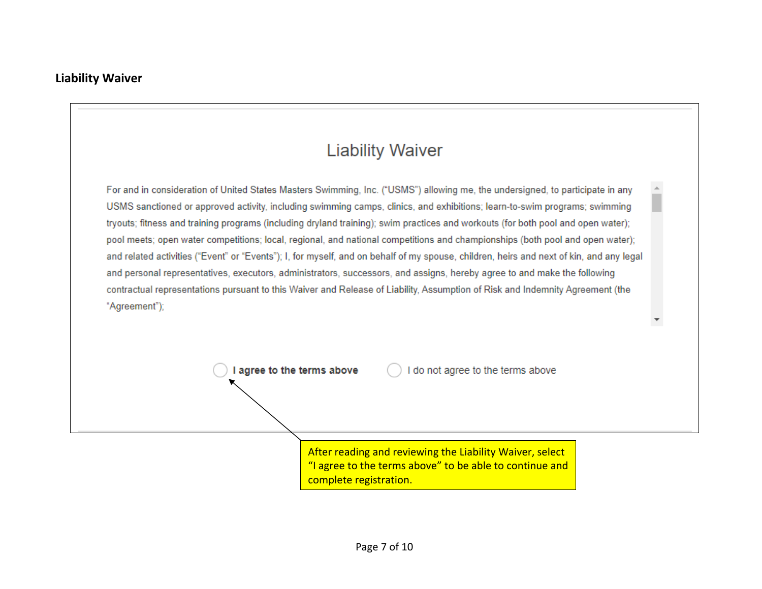

After reading and reviewing the Liability Waiver, select "I agree to the terms above" to be able to continue and complete registration.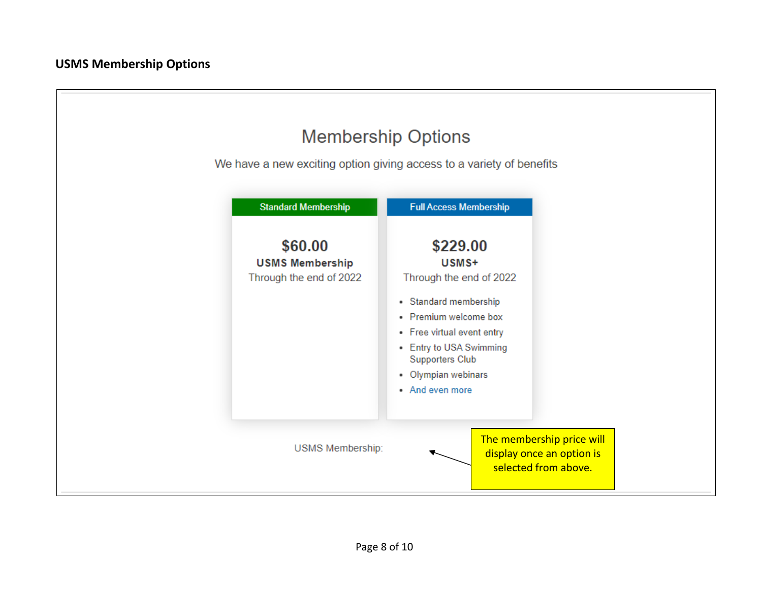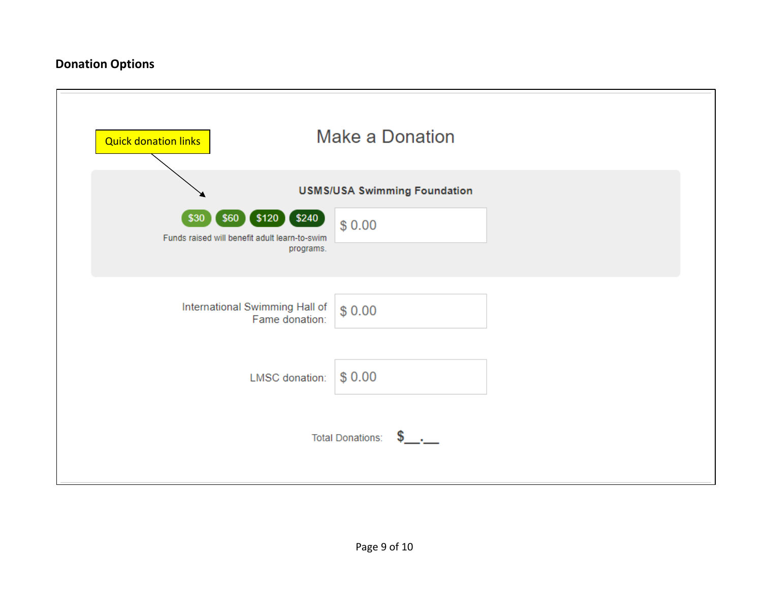## **Donation Options**